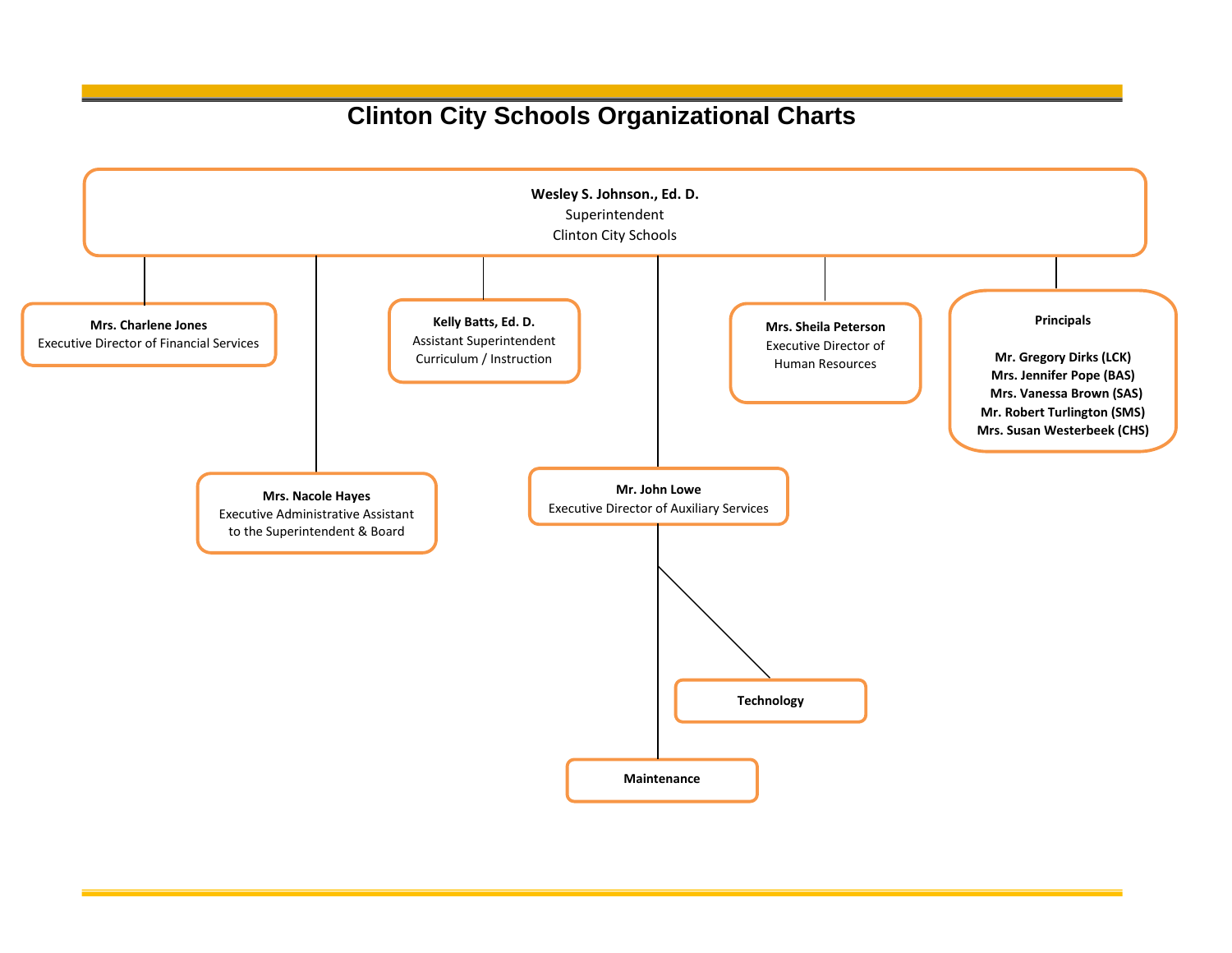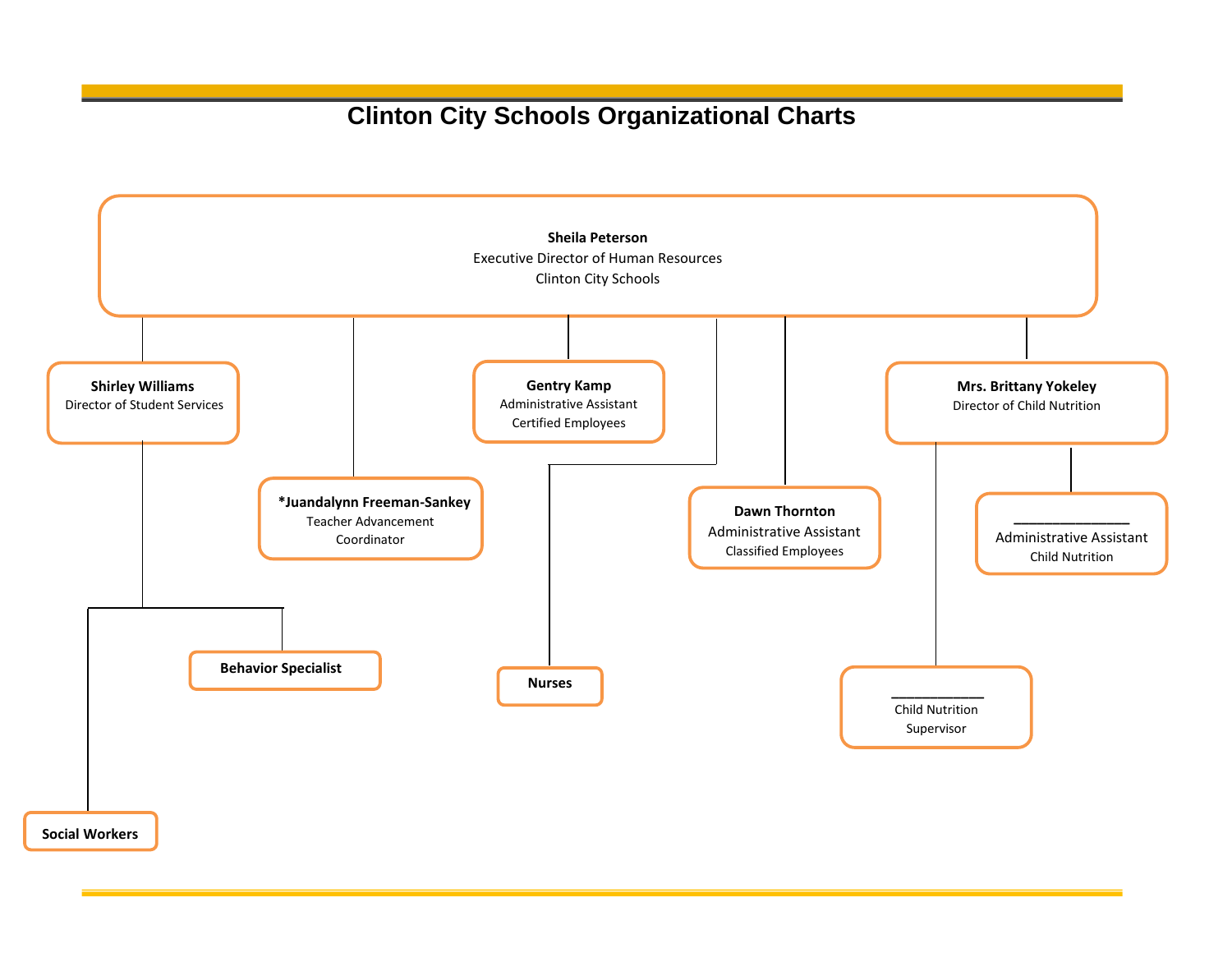

**Social Workers**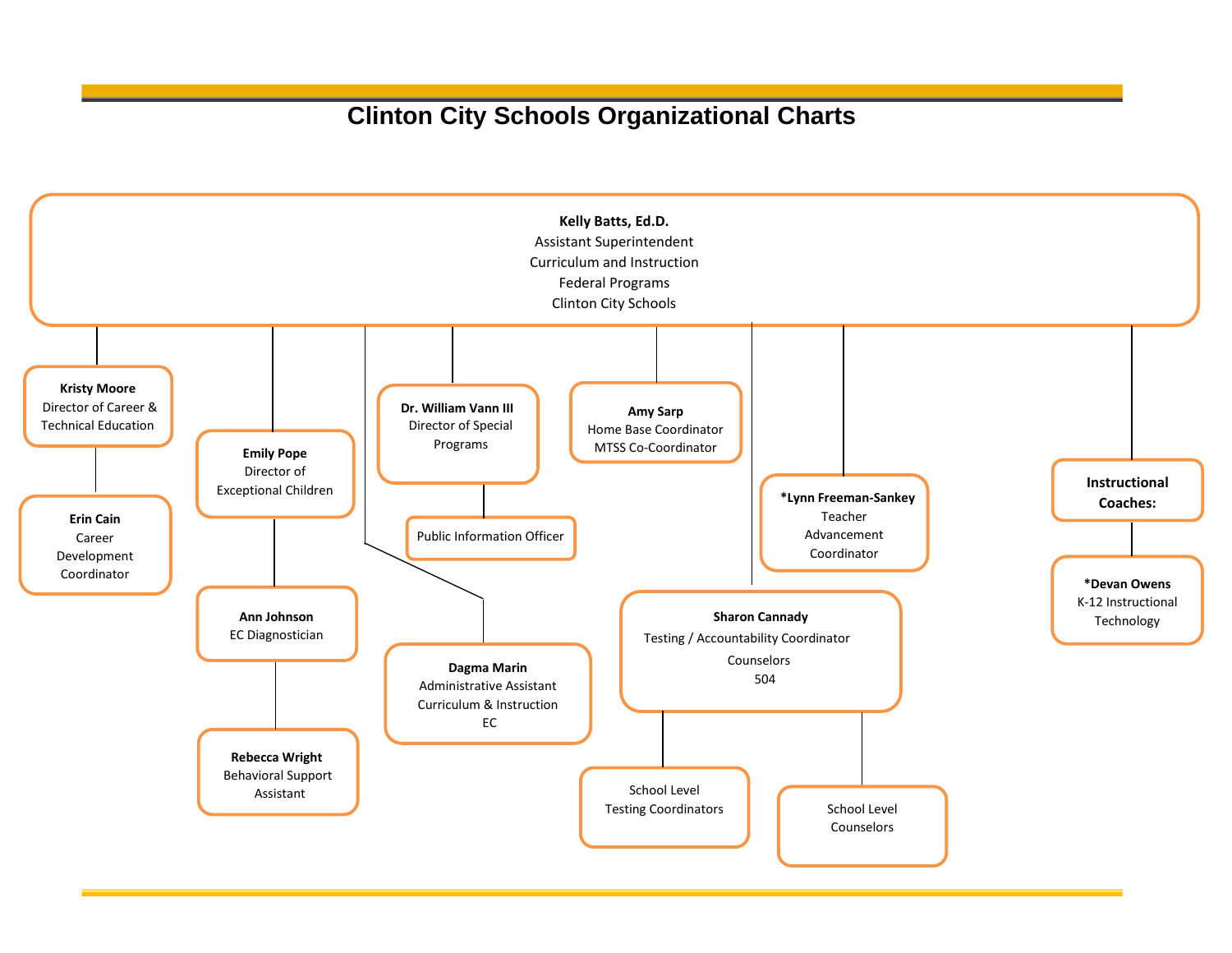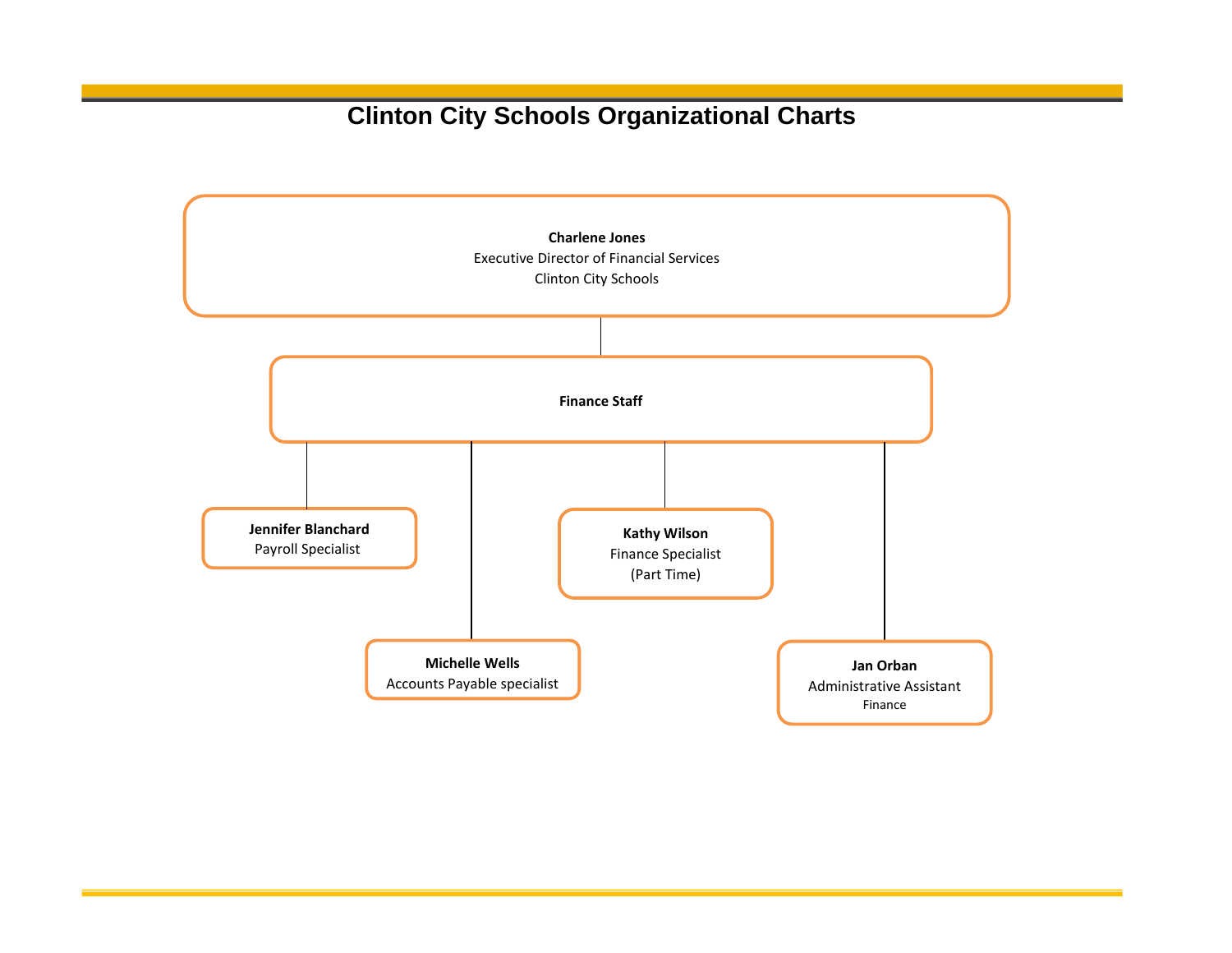